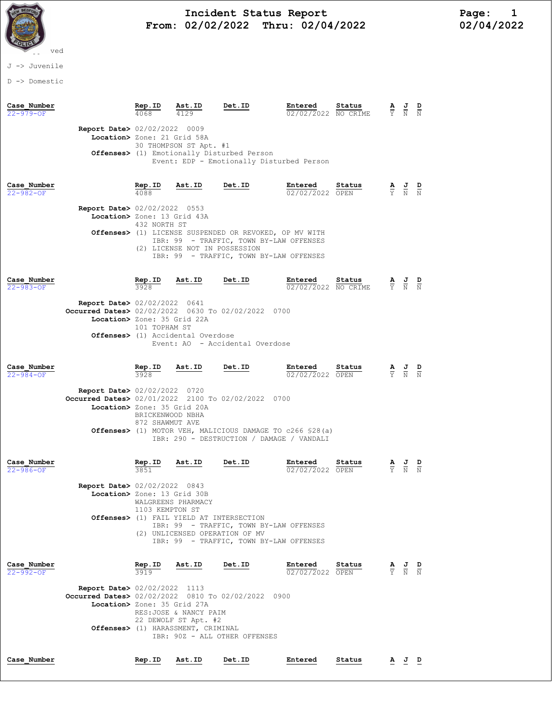

# and Incident Status Report Fage: 1 From:  $02/02/2022$  Thru:  $02/04/2022$  02/04/2022

### J -> Juvenile

D -> Domestic

| Case Number<br>$22 - 979 - OF$ |                                                                                                                             | Rep.ID                                                             | Ast.ID                                                                                                                       | Det.ID                                                                                                                                                 | Entered<br>02/02/2022 NO CRIME | Status | ≙<br>Y                        | $\frac{J}{N}$                                                                                         |               |
|--------------------------------|-----------------------------------------------------------------------------------------------------------------------------|--------------------------------------------------------------------|------------------------------------------------------------------------------------------------------------------------------|--------------------------------------------------------------------------------------------------------------------------------------------------------|--------------------------------|--------|-------------------------------|-------------------------------------------------------------------------------------------------------|---------------|
|                                | <b>Report Date&gt;</b> 02/02/2022 0009<br>Location> Zone: 21 Grid 58A                                                       |                                                                    | 30 THOMPSON ST Apt. #1                                                                                                       | Offenses> (1) Emotionally Disturbed Person<br>Event: EDP - Emotionally Disturbed Person                                                                |                                |        |                               |                                                                                                       |               |
| Case Number<br>$22 - 982 - 0F$ | Report Date> 02/02/2022 0553<br>Location> Zone: 13 Grid 43A                                                                 | $\frac{\text{Rep. ID}}{4088}$<br>432 NORTH ST                      | Ast.ID<br>(2) LICENSE NOT IN POSSESSION                                                                                      | Det.ID<br>Offenses> (1) LICENSE SUSPENDED OR REVOKED, OP MV WITH<br>IBR: 99 - TRAFFIC, TOWN BY-LAW OFFENSES<br>IBR: 99 - TRAFFIC, TOWN BY-LAW OFFENSES | Entered<br>02/02/2022 OPEN     | Status |                               | $\frac{\mathbf{A}}{\mathbf{Y}}$ $\frac{\mathbf{J}}{\mathbf{N}}$ $\frac{\mathbf{D}}{\mathbf{N}}$       |               |
| Case Number<br>$22 - 983 - OF$ | <b>Report Date&gt; 02/02/2022 0641</b><br>Occurred Dates> 02/02/2022 0630 To 02/02/2022 0700<br>Location> Zone: 35 Grid 22A | $rac{\text{Rep. ID}}{3928}$<br>101 TOPHAM ST                       | <u>Ast.ID</u><br>Offenses> (1) Accidental Overdose                                                                           | Det.ID<br>Event: AO - Accidental Overdose                                                                                                              | Entered<br>02/02/2022 NO CRIME | Status |                               | $\frac{\mathbf{A}}{\mathbf{Y}}$ $\frac{\mathbf{J}}{\mathbf{N}}$ $\frac{\mathbf{D}}{\mathbf{N}}$       |               |
| Case Number<br>$22 - 984 - OF$ | <b>Report Date&gt; 02/02/2022 0720</b><br>Occurred Dates> 02/01/2022 2100 To 02/02/2022 0700<br>Location> Zone: 35 Grid 20A | $rac{\text{Rep. ID}}{3928}$<br>BRICKENWOOD NBHA<br>872 SHAWMUT AVE | Ast.ID                                                                                                                       | Det.ID<br><b>Offenses&gt;</b> (1) MOTOR VEH, MALICIOUS DAMAGE TO c266 \$28(a)<br>IBR: 290 - DESTRUCTION / DAMAGE / VANDALI                             | Entered<br>02/02/2022 OPEN     | Status |                               | $\frac{\mathbf{A}}{\mathbf{Y}}$ $\frac{\mathbf{J}}{\mathbf{N}}$ $\frac{\mathbf{D}}{\mathbf{N}}$       |               |
| Case Number<br>$22 - 986 - OF$ | <b>Report Date&gt; 02/02/2022 0843</b><br>Location> Zone: 13 Grid 30B                                                       | Rep.ID<br>3851<br>1103 KEMPTON ST                                  | Ast.ID<br>WALGREENS PHARMACY<br>Offenses> (1) FAIL YIELD AT INTERSECTION<br>(2) UNLICENSED OPERATION OF MV                   | Det.ID<br>IBR: 99 - TRAFFIC, TOWN BY-LAW OFFENSES<br>IBR: 99 - TRAFFIC, TOWN BY-LAW OFFENSES                                                           | Entered<br>02/02/2022 OPEN     | Status | $rac{\mathbf{A}}{\mathbf{Y}}$ | $\frac{J}{N}$                                                                                         | $\frac{D}{N}$ |
| Case Number<br>22-992-OF       | <b>Report Date&gt; 02/02/2022 1113</b><br>Occurred Dates> 02/02/2022 0810 To 02/02/2022 0900<br>Location> Zone: 35 Grid 27A |                                                                    | $\frac{\text{Rep. ID}}{3919}$ Ast.ID<br>RES: JOSE & NANCY PAIM<br>22 DEWOLF ST Apt. #2<br>Offenses> (1) HARASSMENT, CRIMINAL | Det.ID<br>IBR: 90Z - ALL OTHER OFFENSES                                                                                                                | Entered<br>02/02/2022 OPEN     | Status |                               | $\frac{\mathbf{A}}{\overline{Y}}$ $\frac{\mathbf{J}}{\overline{N}}$ $\frac{\mathbf{D}}{\overline{N}}$ |               |
| Case Number                    |                                                                                                                             | Rep.ID                                                             | Ast.ID                                                                                                                       | Det.ID                                                                                                                                                 | Entered                        | Status |                               | <u>A J D</u>                                                                                          |               |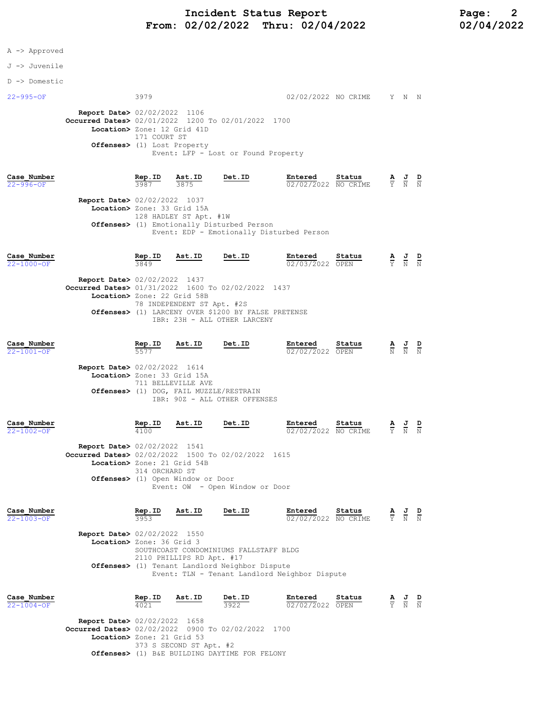# Incident Status Report<br>02/02/2022 Thru: 02/04/2022 12 02/04/2022 From:  $02/02/2022$  Thru:  $02/04/2022$

|  |  | Approved |
|--|--|----------|
|--|--|----------|

#### J -> Juvenile

D -> Domestic

22-995-OF 3979 02/02/2022 NO CRIME Y N N Report Date> 02/02/2022 1106 Occurred Dates> 02/01/2022 1200 To 02/01/2022 1700 Location> Zone: 12 Grid 41D 171 COURT ST Offenses> (1) Lost Property Event: LFP - Lost or Found Property

### Case\_Number Rep.ID Ast.ID Det.ID Entered Status A J D 22-996-OF 3987 3875 02/02/2022 NO CRIME Y N N Report Date> 02/02/2022 1037 Location> Zone: 33 Grid 15A 128 HADLEY ST Apt. #1W Offenses> (1) Emotionally Disturbed Person Event: EDP - Emotionally Disturbed Person

| Case Number      |                                                    | Rep.ID | Ast.ID                     | Det.ID                                              | Entered         | Status | $\overline{\mathbf{A}}$ | $\overline{a}$ | D |
|------------------|----------------------------------------------------|--------|----------------------------|-----------------------------------------------------|-----------------|--------|-------------------------|----------------|---|
| $22 - 1000 - OF$ |                                                    | 3849   |                            |                                                     | 02/03/2022 OPEN |        |                         | Y N N          |   |
|                  | <b>Report Date&gt; 02/02/2022 1437</b>             |        |                            |                                                     |                 |        |                         |                |   |
|                  | Occurred Dates> 01/31/2022 1600 To 02/02/2022 1437 |        |                            |                                                     |                 |        |                         |                |   |
|                  | Location> Zone: 22 Grid 58B                        |        |                            |                                                     |                 |        |                         |                |   |
|                  |                                                    |        | 78 INDEPENDENT ST Apt. #2S |                                                     |                 |        |                         |                |   |
|                  |                                                    |        |                            | Offenses> (1) LARCENY OVER \$1200 BY FALSE PRETENSE |                 |        |                         |                |   |
|                  |                                                    |        |                            | IBR: 23H - ALL OTHER LARCENY                        |                 |        |                         |                |   |
|                  |                                                    |        |                            |                                                     |                 |        |                         |                |   |

| Case Number      |                                        | Rep.ID | Ast.ID | Det.ID | Entered         | Status | AJ D        |          |
|------------------|----------------------------------------|--------|--------|--------|-----------------|--------|-------------|----------|
| $22 - 1001 - OF$ |                                        | 5577   |        |        | 02/02/2022 OPEN |        | --<br>N N N | المسترات |
|                  | <b>Report Date&gt; 02/02/2022 1614</b> |        |        |        |                 |        |             |          |

 Location> Zone: 33 Grid 15A 711 BELLEVILLE AVE Offenses> (1) DOG, FAIL MUZZLE/RESTRAIN IBR: 90Z - ALL OTHER OFFENSES

| Case Number<br>$22 - 1002 - OF$ |                                                                                                                   | Rep.ID<br>4100 | Ast.ID                            | Det.ID                          | Entered<br>02/02/2022 NO CRIME | Status             |                               | $\frac{\mathbf{A}}{\mathbf{Y}}$ $\frac{\mathbf{J}}{\mathbf{N}}$ | D<br>$\mathbf{M}$ |
|---------------------------------|-------------------------------------------------------------------------------------------------------------------|----------------|-----------------------------------|---------------------------------|--------------------------------|--------------------|-------------------------------|-----------------------------------------------------------------|-------------------|
|                                 | Report Date> 02/02/2022 1541<br>Occurred Dates> 02/02/2022 1500 To 02/02/2022 1615<br>Location> Zone: 21 Grid 54B | 314 ORCHARD ST | Offenses> (1) Open Window or Door | Event: OW - Open Window or Door |                                |                    |                               |                                                                 |                   |
| Case Number<br>$22 - 1003 - OF$ |                                                                                                                   | Rep.ID<br>3953 | Ast.ID                            | Det.ID                          | Entered<br>02/02/2022          | Status<br>NO CRIME | $rac{\mathbf{A}}{\mathbf{Y}}$ | 프<br>N                                                          | D<br>N            |

 Report Date> 02/02/2022 1550 Location> Zone: 36 Grid 3 SOUTHCOAST CONDOMINIUMS FALLSTAFF BLDG 2110 PHILLIPS RD Apt. #17 Offenses> (1) Tenant Landlord Neighbor Dispute Event: TLN - Tenant Landlord Neighbor Dispute

| Case Number      |                                                    | Rep.ID                  | Ast.ID | Det.ID                                        | Entered         | Status | AJ D  |  |
|------------------|----------------------------------------------------|-------------------------|--------|-----------------------------------------------|-----------------|--------|-------|--|
| $22 - 1004 - OF$ |                                                    | 4021                    |        | 3922                                          | 02/02/2022 OPEN |        | Y N N |  |
|                  | <b>Report Date&gt; 02/02/2022 1658</b>             |                         |        |                                               |                 |        |       |  |
|                  | Occurred Dates> 02/02/2022 0900 To 02/02/2022 1700 |                         |        |                                               |                 |        |       |  |
|                  | Location> Zone: 21 Grid 53                         |                         |        |                                               |                 |        |       |  |
|                  |                                                    | 373 S SECOND ST Apt. #2 |        |                                               |                 |        |       |  |
|                  |                                                    |                         |        | Offenses> (1) B&E BUILDING DAYTIME FOR FELONY |                 |        |       |  |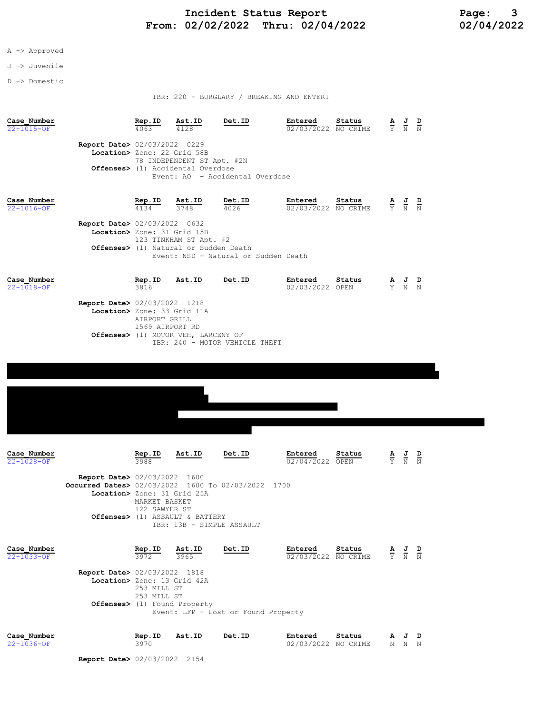## A -> Approved

### J -> Juvenile

D -> Domestic

IBR: 220 - BURGLARY / BREAKING AND ENTERI

| Case Number<br>22-1015-OF       | <b>Report Date&gt; 02/03/2022 0229</b><br>Location> Zone: 22 Grid 58B                                                       | Rep.ID<br>4063                                            | Ast.ID<br>4128<br>78 INDEPENDENT ST Apt. #2N<br><b>Offenses&gt;</b> (1) Accidental Overdose                    | Det.ID<br>Event: AO - Accidental Overdose              | Entered<br>02/03/2022 NO CRIME | Status |                               | $\frac{\mathbf{A}}{\mathbf{Y}}$ $\frac{\mathbf{J}}{\mathbf{N}}$ $\frac{\mathbf{D}}{\mathbf{N}}$ |  |
|---------------------------------|-----------------------------------------------------------------------------------------------------------------------------|-----------------------------------------------------------|----------------------------------------------------------------------------------------------------------------|--------------------------------------------------------|--------------------------------|--------|-------------------------------|-------------------------------------------------------------------------------------------------|--|
| Case Number<br>$22 - 1016 - OF$ | <b>Report Date&gt; 02/03/2022 0632</b><br>Location> Zone: 31 Grid 15B                                                       | Rep.ID<br>4134                                            | Ast.ID<br>3748<br>123 TINKHAM ST Apt. #2<br><b>Offenses&gt;</b> (1) Natural or Sudden Death                    | Det.ID<br>4026<br>Event: NSD - Natural or Sudden Death | Entered<br>02/03/2022 NO CRIME | Status | $rac{\mathbf{A}}{\mathbf{Y}}$ | $\frac{J}{N}$ $\frac{D}{N}$                                                                     |  |
| Case Number<br>$22 - 1018 - OF$ | Report Date> 02/03/2022 1218<br>Location> Zone: 33 Grid 11A                                                                 | <u>Rep.ID</u><br>3816<br>AIRPORT GRILL<br>1569 AIRPORT RD | Ast.ID<br>Offenses> (1) MOTOR VEH, LARCENY OF                                                                  | Det.ID<br>IBR: 240 - MOTOR VEHICLE THEFT               | Entered<br>02/03/2022 OPEN     | Status |                               | $\frac{\mathbf{A}}{\mathbf{Y}}$ $\frac{\mathbf{J}}{\mathbf{N}}$ $\frac{\mathbf{D}}{\mathbf{N}}$ |  |
| Case Number<br>22-1028-OF       | <b>Report Date&gt; 02/03/2022 1600</b><br>Occurred Dates> 02/03/2022 1600 To 02/03/2022 1700<br>Location> Zone: 31 Grid 25A | Rep.ID<br>3988<br>MARKET BASKET<br>122 SAWYER ST          | Ast.ID                                                                                                         | Det.ID                                                 | Entered<br>02/04/2022 OPEN     | Status |                               | $\frac{\mathbf{A}}{\mathbf{Y}}$ $\frac{\mathbf{J}}{\mathbf{N}}$ $\frac{\mathbf{D}}{\mathbf{N}}$ |  |
| Case Number<br>$22 - 1033 - OF$ | <b>Report Date&gt; 02/03/2022 1818</b><br>Location> Zone: 13 Grid 42A                                                       | Rep.ID<br>3972<br>253 MILL ST<br>253 MILL ST              | Offenses> (1) ASSAULT & BATTERY<br>IBR: 13B - SIMPLE ASSAULT<br>Ast.ID<br>3965<br>Offenses> (1) Found Property | Det.ID<br>Event: LFP - Lost or Found Property          | Entered<br>02/03/2022 NO CRIME | Status |                               | $\frac{\mathbf{A}}{\mathbf{Y}}$ $\frac{\mathbf{J}}{\mathbf{N}}$ $\frac{\mathbf{D}}{\mathbf{N}}$ |  |
| Case Number<br>$22 - 1036 - OF$ | <b>Report Date&gt;</b> 02/03/2022 2154                                                                                      | Rep.ID<br>3970                                            | Ast.ID                                                                                                         | Det.ID                                                 | Entered<br>02/03/2022 NO CRIME | Status |                               | $\frac{\mathbf{A}}{\mathbf{N}}$ $\frac{\mathbf{J}}{\mathbf{N}}$ $\frac{\mathbf{D}}{\mathbf{N}}$ |  |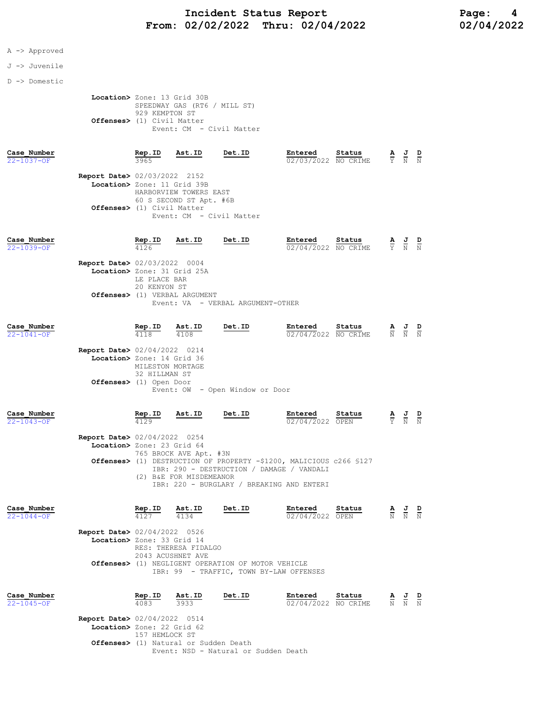### A -> Approved

#### J -> Juvenile

D -> Domestic

 Location> Zone: 13 Grid 30B SPEEDWAY GAS (RT6 / MILL ST) 929 KEMPTON ST Offenses> (1) Civil Matter Event: CM - Civil Matter

Case\_Number Rep.ID Ast.ID Det.ID Entered Status A J D

| 22-1037-OF | 3965                                   | $\overline{02/03/2022}$ NO CRIME $\overline{Y}$ N N |  |  |  |
|------------|----------------------------------------|-----------------------------------------------------|--|--|--|
|            | <b>Report Date&gt; 02/03/2022 2152</b> |                                                     |  |  |  |
|            | Location> Zone: 11 Grid 39B            |                                                     |  |  |  |
|            | HARBORVIEW TOWERS EAST                 |                                                     |  |  |  |
|            | 60 S SECOND ST Apt. #6B                |                                                     |  |  |  |
|            | <b>Offenses&gt;</b> (1) Civil Matter   |                                                     |  |  |  |
|            | Event: CM - Civil Matter               |                                                     |  |  |  |

| Case Number<br>$22 - 1039 - OF$ | Rep.ID                                                                                | Ast.ID                                                                                       | Det.ID                            | Entered<br>02/04/2022 NO CRIME                                                                                                                                | Status |                        | $\frac{\mathbf{A}}{\mathbf{Y}}$ $\frac{\mathbf{J}}{\mathbf{N}}$                                 |               |
|---------------------------------|---------------------------------------------------------------------------------------|----------------------------------------------------------------------------------------------|-----------------------------------|---------------------------------------------------------------------------------------------------------------------------------------------------------------|--------|------------------------|-------------------------------------------------------------------------------------------------|---------------|
|                                 | Report Date> 02/03/2022 0004                                                          | Location> Zone: 31 Grid 25A<br>LE PLACE BAR<br>20 KENYON ST<br>Offenses> (1) VERBAL ARGUMENT | Event: VA - VERBAL ARGUMENT-OTHER |                                                                                                                                                               |        |                        |                                                                                                 |               |
| Case Number<br>$22 - 1041 - OF$ | Rep.ID<br>4118                                                                        | Ast.ID<br>4108                                                                               | Det.ID                            | Entered<br>02/04/2022 NO CRIME                                                                                                                                | Status |                        | $\frac{\mathbf{A}}{\mathbf{N}}$ $\frac{\mathbf{J}}{\mathbf{N}}$ $\frac{\mathbf{D}}{\mathbf{N}}$ |               |
|                                 | Report Date> 02/04/2022 0214<br>Location> Zone: 14 Grid 36<br>Offenses> (1) Open Door | MILESTON MORTAGE<br>32 HILLMAN ST                                                            | Event: OW - Open Window or Door   |                                                                                                                                                               |        |                        |                                                                                                 |               |
| Case Number<br>$22 - 1043 - 0F$ | Rep.ID<br>4129                                                                        | Ast.ID                                                                                       | Det.ID                            | Entered<br>02/04/2022 OPEN                                                                                                                                    | Status |                        | $\frac{\mathbf{A}}{\mathbf{Y}}$ $\frac{\mathbf{J}}{\mathbf{N}}$                                 | $\frac{D}{N}$ |
|                                 | <b>Report Date&gt; 02/04/2022 0254</b><br>Location> Zone: 23 Grid 64                  | 765 BROCK AVE Apt. #3N<br>(2) B&E FOR MISDEMEANOR                                            |                                   | Offenses> (1) DESTRUCTION OF PROPERTY -\$1200, MALICIOUS c266 \$127<br>IBR: 290 - DESTRUCTION / DAMAGE / VANDALI<br>IBR: 220 - BURGLARY / BREAKING AND ENTERI |        |                        |                                                                                                 |               |
| Case Number<br>$22 - 1044 - OF$ | Rep.ID<br>4127                                                                        | Ast.ID<br>4134                                                                               | Det.ID                            | Entered<br>02/04/2022 OPEN                                                                                                                                    | Status | $\frac{\mathbf{A}}{N}$ | $\frac{J}{N}$                                                                                   |               |

 Report Date> 02/04/2022 0526 Location> Zone: 33 Grid 14 RES: THERESA FIDALGO 2043 ACUSHNET AVE Offenses> (1) NEGLIGENT OPERATION OF MOTOR VEHICLE IBR: 99 - TRAFFIC, TOWN BY-LAW OFFENSES

| Case Number<br>$22 - 1045 - OF$ |                                                                      | Rep.ID<br>4083 |                | Ast.ID<br>3933 | Det.ID |                                      | Entered<br>02/04/2022 NO CRIME | Status | AJ D<br>$\overline{N}$ $\overline{N}$ $\overline{N}$ | - |
|---------------------------------|----------------------------------------------------------------------|----------------|----------------|----------------|--------|--------------------------------------|--------------------------------|--------|------------------------------------------------------|---|
|                                 | <b>Report Date&gt; 02/04/2022 0514</b><br>Location> Zone: 22 Grid 62 |                |                |                |        |                                      |                                |        |                                                      |   |
|                                 | <b>Offenses&gt;</b> (1) Natural or Sudden Death                      |                | 157 HEMLOCK ST |                |        |                                      |                                |        |                                                      |   |
|                                 |                                                                      |                |                |                |        | Event: NSD - Natural or Sudden Death |                                |        |                                                      |   |